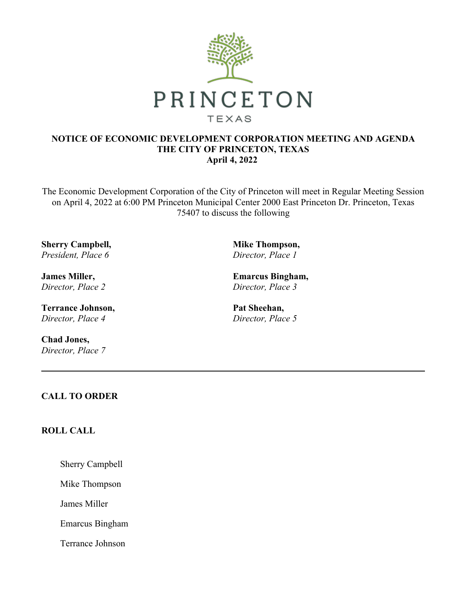

#### **NOTICE OF ECONOMIC DEVELOPMENT CORPORATION MEETING AND AGENDA THE CITY OF PRINCETON, TEXAS April 4, 2022**

The Economic Development Corporation of the City of Princeton will meet in Regular Meeting Session on April 4, 2022 at 6:00 PM Princeton Municipal Center 2000 East Princeton Dr. Princeton, Texas 75407 to discuss the following

**Sherry Campbell,**  *President, Place 6*

**James Miller,**  *Director, Place 2*

**Terrance Johnson,**  *Director, Place 4*

**Chad Jones,**  *Director, Place 7* **Mike Thompson,**  *Director, Place 1*

**Emarcus Bingham,**  *Director, Place 3*

**Pat Sheehan,**  *Director, Place 5*

# **CALL TO ORDER**

# **ROLL CALL**

Sherry Campbell

Mike Thompson

James Miller

Emarcus Bingham

Terrance Johnson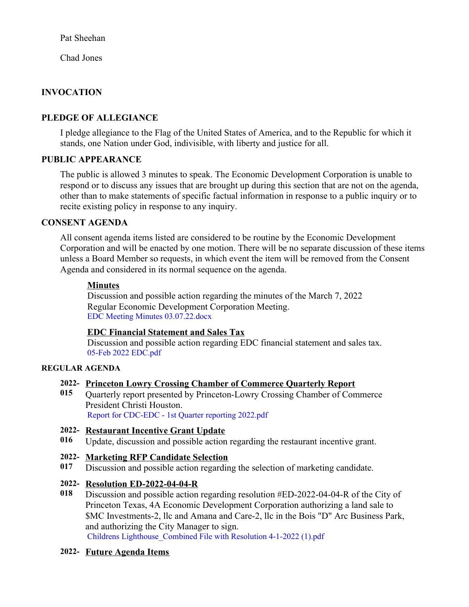Pat Sheehan

Chad Jones

# **INVOCATION**

# **PLEDGE OF ALLEGIANCE**

I pledge allegiance to the Flag of the United States of America, and to the Republic for which it stands, one Nation under God, indivisible, with liberty and justice for all.

# **PUBLIC APPEARANCE**

The public is allowed 3 minutes to speak. The Economic Development Corporation is unable to respond or to discuss any issues that are brought up during this section that are not on the agenda, other than to make statements of specific factual information in response to a public inquiry or to recite existing policy in response to any inquiry.

#### **CONSENT AGENDA**

All consent agenda items listed are considered to be routine by the Economic Development Corporation and will be enacted by one motion. There will be no separate discussion of these items unless a Board Member so requests, in which event the item will be removed from the Consent Agenda and considered in its normal sequence on the agenda.

#### **Minutes**

Discussion and possible action regarding the minutes of the March 7, 2022 Regular Economic Development Corporation Meeting. [EDC Meeting Minutes 03.07.22.docx](https://legistarweb-production.s3.amazonaws.com/uploads/attachment/pdf/1294559/EDC_Meeting_Minutes_03.07.22.pdf)

# **EDC Financial Statement and Sales Tax**

Discussion and possible action regarding EDC financial statement and sales tax. [05-Feb 2022 EDC.pdf](https://legistarweb-production.s3.amazonaws.com/uploads/attachment/pdf/1294560/05-Feb_2022_EDC.pdf)

#### **REGULAR AGENDA**

# **2022- Princeton Lowry Crossing Chamber of Commerce Quarterly Report**

**015** Quarterly report presented by Princeton-Lowry Crossing Chamber of Commerce President Christi Houston. [Report for CDC-EDC - 1st Quarter reporting 2022.pdf](https://legistarweb-production.s3.amazonaws.com/uploads/attachment/pdf/1304049/Report_for_CDC-EDC_-_1st_Quarter_reporting_2022.pdf)

#### **2022- Restaurant Incentive Grant Update**

**016** Update, discussion and possible action regarding the restaurant incentive grant.

# **2022- Marketing RFP Candidate Selection**

**017** Discussion and possible action regarding the selection of marketing candidate.

# **2022- Resolution ED-2022-04-04-R**

**018** Discussion and possible action regarding resolution #ED-2022-04-04-R of the City of Princeton Texas, 4A Economic Development Corporation authorizing a land sale to \$MC Investments-2, llc and Amana and Care-2, llc in the Bois "D" Arc Business Park, and authorizing the City Manager to sign. [Childrens Lighthouse\\_Combined File with Resolution 4-1-2022 \(1\).pdf](https://legistarweb-production.s3.amazonaws.com/uploads/attachment/pdf/1312537/Childrens_Lighthouse_Combined_File_with_Resolution_4-1-2022__1_.pdf)

# **2022- Future Agenda Items**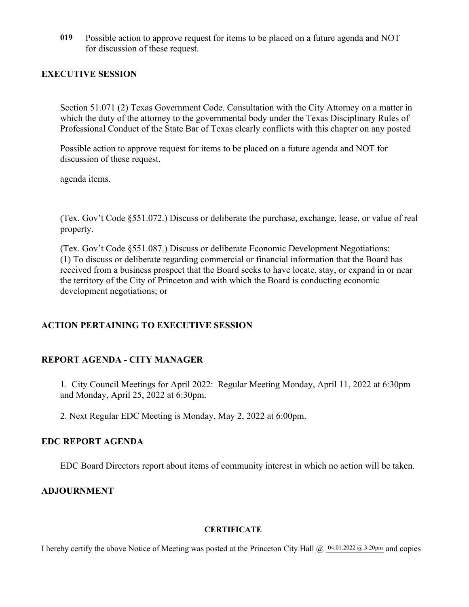**019** Possible action to approve request for items to be placed on a future agenda and NOT for discussion of these request.

### **EXECUTIVE SESSION**

Section 51.071 (2) Texas Government Code. Consultation with the City Attorney on a matter in which the duty of the attorney to the governmental body under the Texas Disciplinary Rules of Professional Conduct of the State Bar of Texas clearly conflicts with this chapter on any posted

Possible action to approve request for items to be placed on a future agenda and NOT for discussion of these request.

agenda items.

(Tex. Gov't Code §551.072.) Discuss or deliberate the purchase, exchange, lease, or value of real property.

(Tex. Gov't Code §551.087.) Discuss or deliberate Economic Development Negotiations: (1) To discuss or deliberate regarding commercial or financial information that the Board has received from a business prospect that the Board seeks to have locate, stay, or expand in or near the territory of the City of Princeton and with which the Board is conducting economic development negotiations; or

# **ACTION PERTAINING TO EXECUTIVE SESSION**

#### **REPORT AGENDA - CITY MANAGER**

1. City Council Meetings for April 2022: Regular Meeting Monday, April 11, 2022 at 6:30pm and Monday, April 25, 2022 at 6:30pm.

2. Next Regular EDC Meeting is Monday, May 2, 2022 at 6:00pm.

#### **EDC REPORT AGENDA**

EDC Board Directors report about items of community interest in which no action will be taken.

#### **ADJOURNMENT**

#### **CERTIFICATE**

I hereby certify the above Notice of Meeting was posted at the Princeton City Hall @  $^{04.01.2022}$  @ 3:20pm and copies